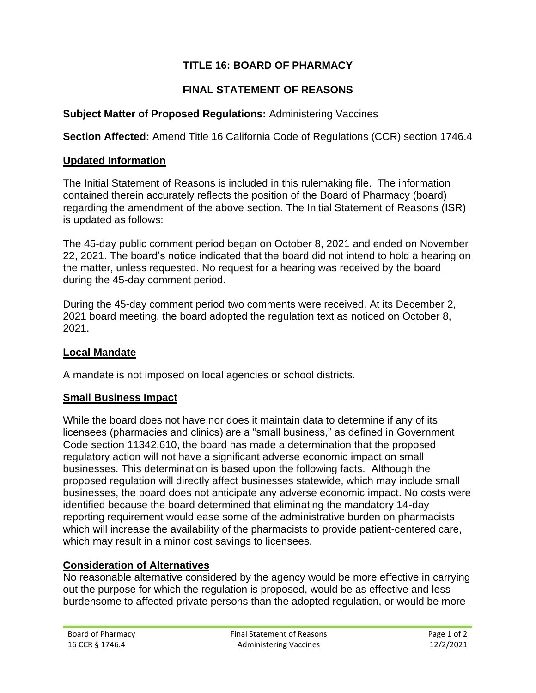# **TITLE 16: BOARD OF PHARMACY**

### **FINAL STATEMENT OF REASONS**

#### **Subject Matter of Proposed Regulations:** Administering Vaccines

**Section Affected:** Amend Title 16 California Code of Regulations (CCR) section 1746.4

#### **Updated Information**

The Initial Statement of Reasons is included in this rulemaking file. The information contained therein accurately reflects the position of the Board of Pharmacy (board) regarding the amendment of the above section. The Initial Statement of Reasons (ISR) is updated as follows:

The 45-day public comment period began on October 8, 2021 and ended on November 22, 2021. The board's notice indicated that the board did not intend to hold a hearing on the matter, unless requested. No request for a hearing was received by the board during the 45-day comment period.

During the 45-day comment period two comments were received. At its December 2, 2021 board meeting, the board adopted the regulation text as noticed on October 8, 2021.

#### **Local Mandate**

A mandate is not imposed on local agencies or school districts.

#### **Small Business Impact**

While the board does not have nor does it maintain data to determine if any of its licensees (pharmacies and clinics) are a "small business," as defined in Government Code section 11342.610, the board has made a determination that the proposed regulatory action will not have a significant adverse economic impact on small businesses. This determination is based upon the following facts. Although the proposed regulation will directly affect businesses statewide, which may include small businesses, the board does not anticipate any adverse economic impact. No costs were identified because the board determined that eliminating the mandatory 14-day reporting requirement would ease some of the administrative burden on pharmacists which will increase the availability of the pharmacists to provide patient-centered care, which may result in a minor cost savings to licensees.

#### **Consideration of Alternatives**

No reasonable alternative considered by the agency would be more effective in carrying out the purpose for which the regulation is proposed, would be as effective and less burdensome to affected private persons than the adopted regulation, or would be more